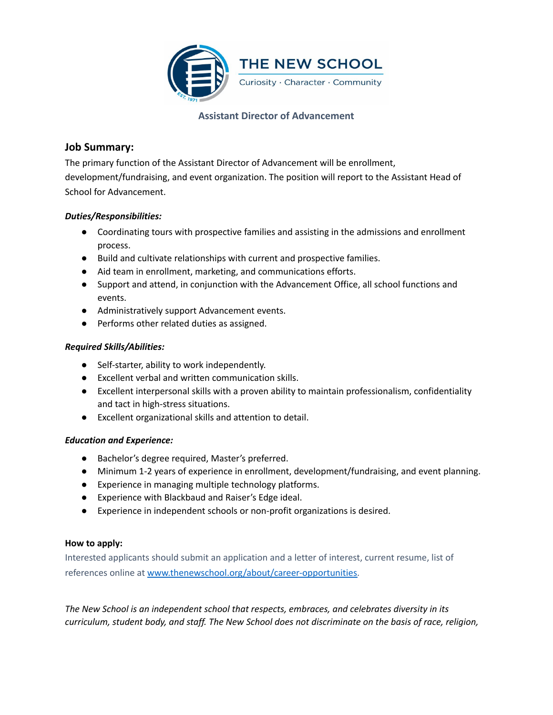

### **Assistant Director of Advancement**

# **Job Summary:**

The primary function of the Assistant Director of Advancement will be enrollment, development/fundraising, and event organization. The position will report to the Assistant Head of School for Advancement.

### *Duties/Responsibilities:*

- Coordinating tours with prospective families and assisting in the admissions and enrollment process.
- Build and cultivate relationships with current and prospective families.
- Aid team in enrollment, marketing, and communications efforts.
- Support and attend, in conjunction with the Advancement Office, all school functions and events.
- Administratively support Advancement events.
- Performs other related duties as assigned.

# *Required Skills/Abilities:*

- Self-starter, ability to work independently.
- Excellent verbal and written communication skills.
- Excellent interpersonal skills with a proven ability to maintain professionalism, confidentiality and tact in high-stress situations.
- Excellent organizational skills and attention to detail.

# *Education and Experience:*

- Bachelor's degree required, Master's preferred.
- Minimum 1-2 years of experience in enrollment, development/fundraising, and event planning.
- Experience in managing multiple technology platforms.
- Experience with Blackbaud and Raiser's Edge ideal.
- Experience in independent schools or non-profit organizations is desired.

### **How to apply:**

Interested applicants should submit an application and a letter of interest, current resume, list of references online at [www.thenewschool.org/about/career-opportunities.](http://www.thenewschool.org/about/career-opportunities)

*The New School is an independent school that respects, embraces, and celebrates diversity in its curriculum, student body, and staff. The New School does not discriminate on the basis of race, religion,*